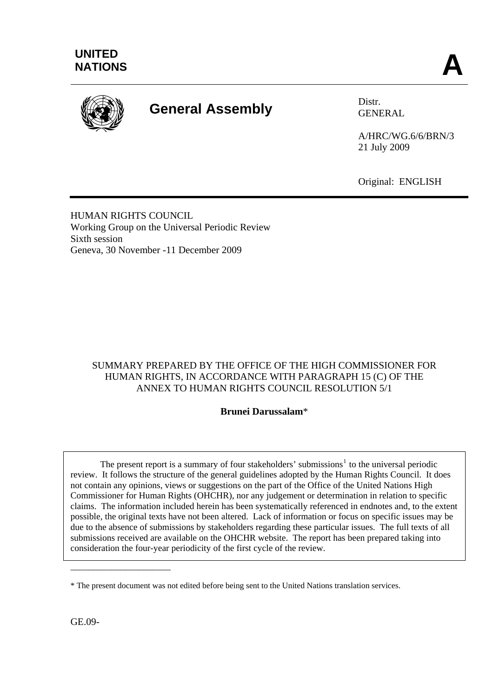

# **General Assembly** Distr.

GENERAL

A/HRC/WG.6/6/BRN/3 21 July 2009

Original: ENGLISH

HUMAN RIGHTS COUNCIL Working Group on the Universal Periodic Review Sixth session Geneva, 30 November -11 December 2009

# SUMMARY PREPARED BY THE OFFICE OF THE HIGH COMMISSIONER FOR HUMAN RIGHTS, IN ACCORDANCE WITH PARAGRAPH 15 (C) OF THE ANNEX TO HUMAN RIGHTS COUNCIL RESOLUTION 5/1

#### **Brunei Darussalam**\*

The present report is a summary of four stakeholders' submissions<sup>[1](#page-6-0)</sup> to the universal periodic review. It follows the structure of the general guidelines adopted by the Human Rights Council. It does not contain any opinions, views or suggestions on the part of the Office of the United Nations High Commissioner for Human Rights (OHCHR), nor any judgement or determination in relation to specific claims. The information included herein has been systematically referenced in endnotes and, to the extent possible, the original texts have not been altered. Lack of information or focus on specific issues may be due to the absence of submissions by stakeholders regarding these particular issues. The full texts of all submissions received are available on the OHCHR website. The report has been prepared taking into consideration the four-year periodicity of the first cycle of the review.

GE.09-

\_\_\_\_\_\_\_\_\_\_\_\_\_\_\_\_\_\_\_\_\_\_

<sup>\*</sup> The present document was not edited before being sent to the United Nations translation services.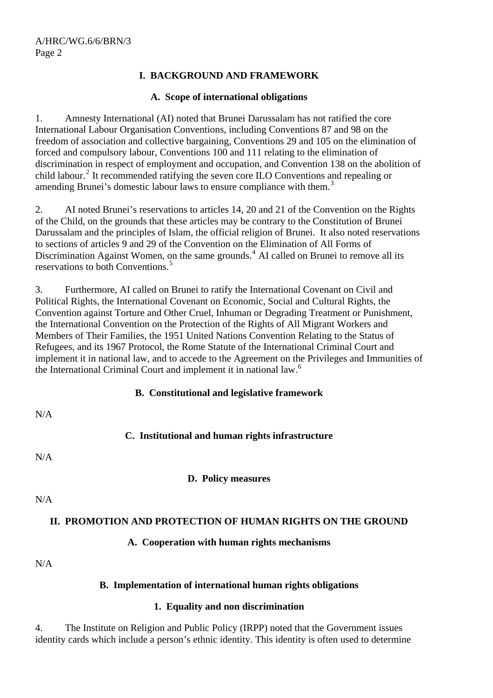# **I. BACKGROUND AND FRAMEWORK**

#### **A. Scope of international obligations**

1. Amnesty International (AI) noted that Brunei Darussalam has not ratified the core International Labour Organisation Conventions, including Conventions 87 and 98 on the freedom of association and collective bargaining, Conventions 29 and 105 on the elimination of forced and compulsory labour, Conventions 100 and 111 relating to the elimination of discrimination in respect of employment and occupation, and Convention 138 on the abolition of child labour.<sup>[2](#page-6-1)</sup> It recommended ratifying the seven core ILO Conventions and repealing or amending Brunei's domestic labour laws to ensure compliance with them.<sup>[3](#page-6-1)</sup>

2. AI noted Brunei's reservations to articles 14, 20 and 21 of the Convention on the Rights of the Child, on the grounds that these articles may be contrary to the Constitution of Brunei Darussalam and the principles of Islam, the official religion of Brunei. It also noted reservations to sections of articles 9 and 29 of the Convention on the Elimination of All Forms of Discrimination Against Women, on the same grounds. $4$  AI called on Brunei to remove all its reservations to both Conventions.<sup>[5](#page-6-1)</sup>

3. Furthermore, AI called on Brunei to ratify the International Covenant on Civil and Political Rights, the International Covenant on Economic, Social and Cultural Rights, the Convention against Torture and Other Cruel, Inhuman or Degrading Treatment or Punishment, the International Convention on the Protection of the Rights of All Migrant Workers and Members of Their Families, the 1951 United Nations Convention Relating to the Status of Refugees, and its 1967 Protocol, the Rome Statute of the International Criminal Court and implement it in national law, and to accede to the Agreement on the Privileges and Immunities of the International Criminal Court and implement it in national law.[6](#page-6-1)

#### **B. Constitutional and legislative framework**

| N/A |                                                  |
|-----|--------------------------------------------------|
|     | C. Institutional and human rights infrastructure |
| N/A |                                                  |
|     | D. Policy measures                               |
| N/A |                                                  |

#### **II. PROMOTION AND PROTECTION OF HUMAN RIGHTS ON THE GROUND**

# **A. Cooperation with human rights mechanisms**

N/A

# **B. Implementation of international human rights obligations**

#### **1. Equality and non discrimination**

4. The Institute on Religion and Public Policy (IRPP) noted that the Government issues identity cards which include a person's ethnic identity. This identity is often used to determine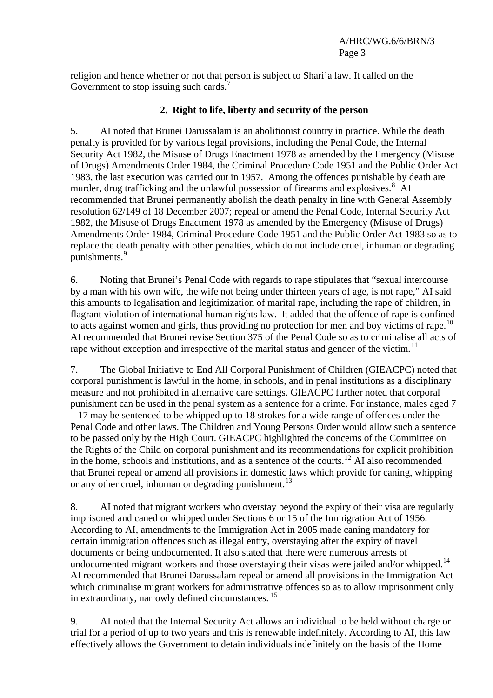religion and hence whether or not that person is subject to Shari'a law. It called on the Government to stop issuing such cards.<sup>[7](#page-6-1)</sup>

## **2. Right to life, liberty and security of the person**

5. AI noted that Brunei Darussalam is an abolitionist country in practice. While the death penalty is provided for by various legal provisions, including the Penal Code, the Internal Security Act 1982, the Misuse of Drugs Enactment 1978 as amended by the Emergency (Misuse of Drugs) Amendments Order 1984, the Criminal Procedure Code 1951 and the Public Order Act 1983, the last execution was carried out in 1957. Among the offences punishable by death are murder, drug trafficking and the unlawful possession of firearms and explosives.<sup>[8](#page-6-1)</sup> AI recommended that Brunei permanently abolish the death penalty in line with General Assembly resolution 62/149 of 18 December 2007; repeal or amend the Penal Code, Internal Security Act 1982, the Misuse of Drugs Enactment 1978 as amended by the Emergency (Misuse of Drugs) Amendments Order 1984, Criminal Procedure Code 1951 and the Public Order Act 1983 so as to replace the death penalty with other penalties, which do not include cruel, inhuman or degrading punishments.<sup>[9](#page-6-1)</sup>

6. Noting that Brunei's Penal Code with regards to rape stipulates that "sexual intercourse by a man with his own wife, the wife not being under thirteen years of age, is not rape," AI said this amounts to legalisation and legitimization of marital rape, including the rape of children, in flagrant violation of international human rights law. It added that the offence of rape is confined to acts against women and girls, thus providing no protection for men and boy victims of rape.<sup>[10](#page-6-1)</sup> AI recommended that Brunei revise Section 375 of the Penal Code so as to criminalise all acts of rape without exception and irrespective of the marital status and gender of the victim.<sup>[11](#page-6-1)</sup>

7. The Global Initiative to End All Corporal Punishment of Children (GIEACPC) noted that corporal punishment is lawful in the home, in schools, and in penal institutions as a disciplinary measure and not prohibited in alternative care settings. GIEACPC further noted that corporal punishment can be used in the penal system as a sentence for a crime. For instance, males aged 7 – 17 may be sentenced to be whipped up to 18 strokes for a wide range of offences under the Penal Code and other laws. The Children and Young Persons Order would allow such a sentence to be passed only by the High Court. GIEACPC highlighted the concerns of the Committee on the Rights of the Child on corporal punishment and its recommendations for explicit prohibition in the home, schools and institutions, and as a sentence of the courts.<sup>[12](#page-6-1)</sup> AI also recommended that Brunei repeal or amend all provisions in domestic laws which provide for caning, whipping or any other cruel, inhuman or degrading punishment.<sup>[13](#page-6-1)</sup>

8. AI noted that migrant workers who overstay beyond the expiry of their visa are regularly imprisoned and caned or whipped under Sections 6 or 15 of the Immigration Act of 1956. According to AI, amendments to the Immigration Act in 2005 made caning mandatory for certain immigration offences such as illegal entry, overstaying after the expiry of travel documents or being undocumented. It also stated that there were numerous arrests of undocumented migrant workers and those overstaying their visas were jailed and/or whipped.<sup>[14](#page-6-1)</sup> AI recommended that Brunei Darussalam repeal or amend all provisions in the Immigration Act which criminalise migrant workers for administrative offences so as to allow imprisonment only in extraordinary, narrowly defined circumstances.<sup>[15](#page-6-1)</sup>

9. AI noted that the Internal Security Act allows an individual to be held without charge or trial for a period of up to two years and this is renewable indefinitely. According to AI, this law effectively allows the Government to detain individuals indefinitely on the basis of the Home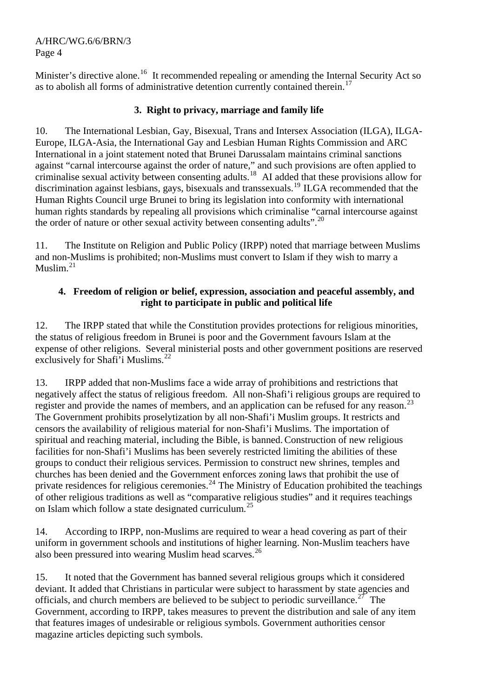#### A/HRC/WG.6/6/BRN/3 Page 4

Minister's directive alone.<sup>[16](#page-6-1)</sup> It recommended repealing or amending the Internal Security Act so as to abolish all forms of administrative detention currently contained therein.<sup>[17](#page-6-1)</sup>

# **3. Right to privacy, marriage and family life**

10. The International Lesbian, Gay, Bisexual, Trans and Intersex Association (ILGA), ILGA-Europe, ILGA-Asia, the International Gay and Lesbian Human Rights Commission and ARC International in a joint statement noted that Brunei Darussalam maintains criminal sanctions against "carnal intercourse against the order of nature," and such provisions are often applied to criminalise sexual activity between consenting adults.<sup>[18](#page-6-1)</sup> AI added that these provisions allow for discrimination against lesbians, gays, bisexuals and transsexuals.[19](#page-6-1) ILGA recommended that the Human Rights Council urge Brunei to bring its legislation into conformity with international human rights standards by repealing all provisions which criminalise "carnal intercourse against the order of nature or other sexual activity between consenting adults".<sup>[20](#page-6-1)</sup>

11. The Institute on Religion and Public Policy (IRPP) noted that marriage between Muslims and non-Muslims is prohibited; non-Muslims must convert to Islam if they wish to marry a Muslim.<sup>[21](#page-6-1)</sup>

#### **4. Freedom of religion or belief, expression, association and peaceful assembly, and right to participate in public and political life**

12. The IRPP stated that while the Constitution provides protections for religious minorities, the status of religious freedom in Brunei is poor and the Government favours Islam at the expense of other religions. Several ministerial posts and other government positions are reserved exclusively for Shafi'i Muslims.<sup>[22](#page-6-1)</sup>

13. IRPP added that non-Muslims face a wide array of prohibitions and restrictions that negatively affect the status of religious freedom. All non-Shafi'i religious groups are required to register and provide the names of members, and an application can be refused for any reason.<sup>[23](#page-6-1)</sup> The Government prohibits proselytization by all non-Shafi'i Muslim groups. It restricts and censors the availability of religious material for non-Shafi'i Muslims. The importation of spiritual and reaching material, including the Bible, is banned. Construction of new religious facilities for non-Shafi'i Muslims has been severely restricted limiting the abilities of these groups to conduct their religious services. Permission to construct new shrines, temples and churches has been denied and the Government enforces zoning laws that prohibit the use of private residences for religious ceremonies.<sup>[24](#page-6-1)</sup> The Ministry of Education prohibited the teachings of other religious traditions as well as "comparative religious studies" and it requires teachings on Islam which follow a state designated curriculum.<sup>[25](#page-6-1)</sup>

14. According to IRPP, non-Muslims are required to wear a head covering as part of their uniform in government schools and institutions of higher learning. Non-Muslim teachers have also been pressured into wearing Muslim head scarves.<sup>[26](#page-6-1)</sup>

15. It noted that the Government has banned several religious groups which it considered deviant. It added that Christians in particular were subject to harassment by state agencies and officials, and church members are believed to be subject to periodic surveillance.<sup>[27](#page-6-1)</sup> The Government, according to IRPP, takes measures to prevent the distribution and sale of any item that features images of undesirable or religious symbols. Government authorities censor magazine articles depicting such symbols.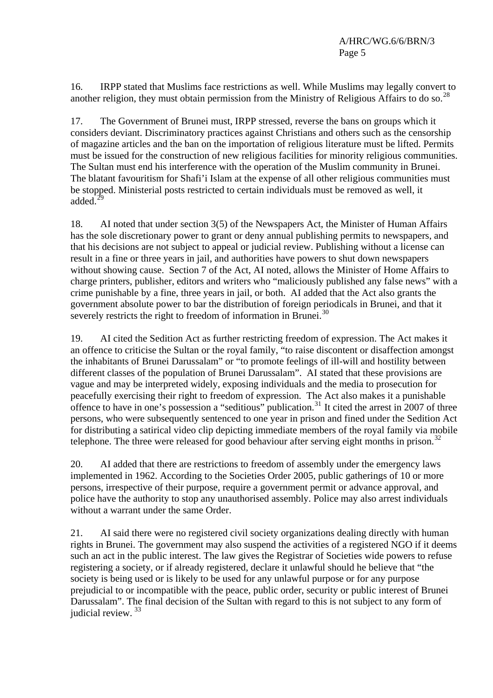16. IRPP stated that Muslims face restrictions as well. While Muslims may legally convert to another religion, they must obtain permission from the Ministry of Religious Affairs to do so.<sup>[28](#page-6-1)</sup>

17. The Government of Brunei must, IRPP stressed, reverse the bans on groups which it considers deviant. Discriminatory practices against Christians and others such as the censorship of magazine articles and the ban on the importation of religious literature must be lifted. Permits must be issued for the construction of new religious facilities for minority religious communities. The Sultan must end his interference with the operation of the Muslim community in Brunei. The blatant favouritism for Shafi'i Islam at the expense of all other religious communities must be stopped. Ministerial posts restricted to certain individuals must be removed as well, it added. $^{29}$  $^{29}$  $^{29}$ 

18. AI noted that under section 3(5) of the Newspapers Act, the Minister of Human Affairs has the sole discretionary power to grant or deny annual publishing permits to newspapers, and that his decisions are not subject to appeal or judicial review. Publishing without a license can result in a fine or three years in jail, and authorities have powers to shut down newspapers without showing cause. Section 7 of the Act, AI noted, allows the Minister of Home Affairs to charge printers, publisher, editors and writers who "maliciously published any false news" with a crime punishable by a fine, three years in jail, or both. AI added that the Act also grants the government absolute power to bar the distribution of foreign periodicals in Brunei, and that it severely restricts the right to freedom of information in Brunei.<sup>[30](#page-6-1)</sup>

19. AI cited the Sedition Act as further restricting freedom of expression. The Act makes it an offence to criticise the Sultan or the royal family, "to raise discontent or disaffection amongst the inhabitants of Brunei Darussalam" or "to promote feelings of ill-will and hostility between different classes of the population of Brunei Darussalam". AI stated that these provisions are vague and may be interpreted widely, exposing individuals and the media to prosecution for peacefully exercising their right to freedom of expression. The Act also makes it a punishable offence to have in one's possession a "seditious" publication.<sup>[31](#page-6-1)</sup> It cited the arrest in 2007 of three persons, who were subsequently sentenced to one year in prison and fined under the Sedition Act for distributing a satirical video clip depicting immediate members of the royal family via mobile telephone. The three were released for good behaviour after serving eight months in prison.<sup>[32](#page-6-1)</sup>

20. AI added that there are restrictions to freedom of assembly under the emergency laws implemented in 1962. According to the Societies Order 2005, public gatherings of 10 or more persons, irrespective of their purpose, require a government permit or advance approval, and police have the authority to stop any unauthorised assembly. Police may also arrest individuals without a warrant under the same Order.

21. AI said there were no registered civil society organizations dealing directly with human rights in Brunei. The government may also suspend the activities of a registered NGO if it deems such an act in the public interest. The law gives the Registrar of Societies wide powers to refuse registering a society, or if already registered, declare it unlawful should he believe that "the society is being used or is likely to be used for any unlawful purpose or for any purpose prejudicial to or incompatible with the peace, public order, security or public interest of Brunei Darussalam". The final decision of the Sultan with regard to this is not subject to any form of judicial review. [33](#page-6-1)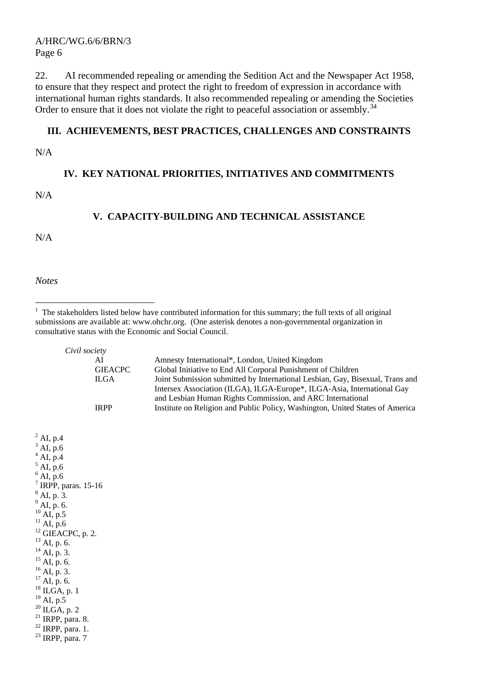A/HRC/WG.6/6/BRN/3 Page 6

22. AI recommended repealing or amending the Sedition Act and the Newspaper Act 1958, to ensure that they respect and protect the right to freedom of expression in accordance with international human rights standards. It also recommended repealing or amending the Societies Order to ensure that it does not violate the right to peaceful association or assembly.<sup>[34](#page-6-1)</sup>

#### **III. ACHIEVEMENTS, BEST PRACTICES, CHALLENGES AND CONSTRAINTS**

N/A

#### **IV. KEY NATIONAL PRIORITIES, INITIATIVES AND COMMITMENTS**

N/A

#### **V. CAPACITY-BUILDING AND TECHNICAL ASSISTANCE**

N/A

*Notes* 

 $\overline{a}$ 

*Civil society* 

| AI             | Amnesty International*, London, United Kingdom                                       |
|----------------|--------------------------------------------------------------------------------------|
| <b>GIEACPC</b> | Global Initiative to End All Corporal Punishment of Children                         |
| ILGA           | Joint Submission submitted by International Lesbian, Gay, Bisexual, Trans and        |
|                | Intersex Association (ILGA), ILGA-Europe <sup>*</sup> , ILGA-Asia, International Gay |
|                | and Lesbian Human Rights Commission, and ARC International                           |
| <b>IRPP</b>    | Institute on Religion and Public Policy, Washington, United States of America        |

 $^{2}$  AI, p.4  $3$  AI, p.6  $^{4}$  AI, p.4  $<sup>5</sup>$  AI, p.6</sup>  $^{6}$  AI, p.6  $<sup>7</sup>$  IRPP, paras. 15-16</sup>  $^{8}$  AI, p. 3.  $^{9}$  AI, p. 6.  $^{10}$  AI, p.5  $^{11}$ AI, p.6  $^{12}$  GIEACPC, p. 2.  $^{13}$  AI, p. 6.  $^{14}$  AI, p. 3.  $^{15}$  AI, p. 6.  $^{16}$  AI, p. 3.  $^{17}$  AI, p. 6.  $18$  ILGA, p. 1  $^{19}$  AI, p.5  $\,$  $20$  ILGA, p. 2  $21$  IRPP, para. 8.  $22$  IRPP, para. 1.  $23$  IRPP, para. 7

<sup>&</sup>lt;sup>1</sup> The stakeholders listed below have contributed information for this summary; the full texts of all original submissions are available at: [www.ohchr.org.](http://www.ohchr.org/) (One asterisk denotes a non-governmental organization in consultative status with the Economic and Social Council.